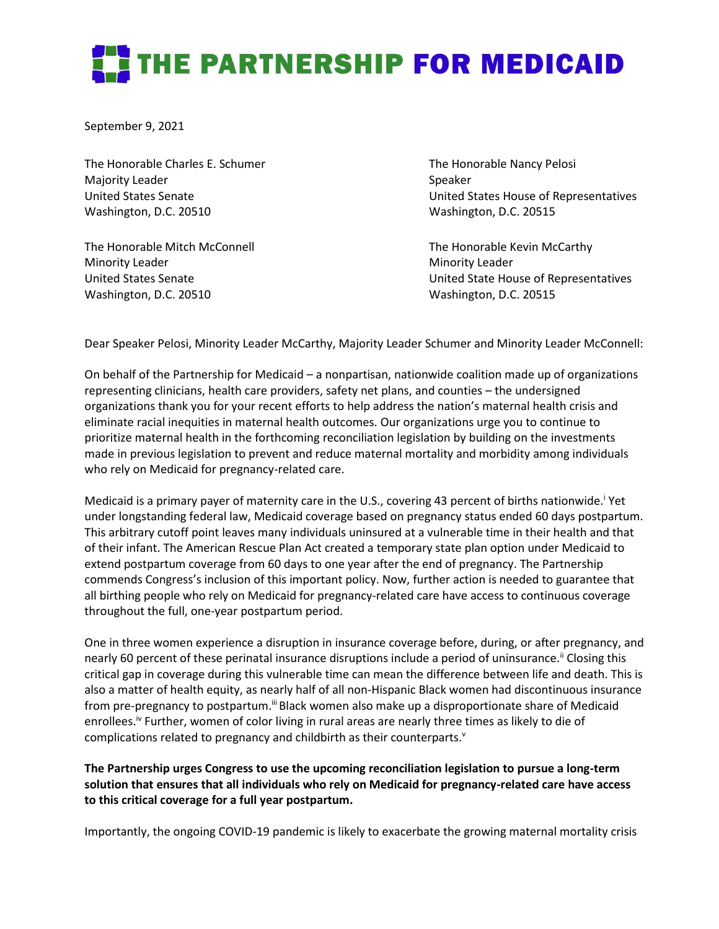## THE PARTNERSHIP FOR MEDICAID

September 9, 2021

The Honorable Charles E. Schumer The Honorable Nancy Pelosi Majority Leader National According to the Speaker Speaker Washington, D.C. 20510 Washington, D.C. 20515

The Honorable Mitch McConnell The Honorable Kevin McCarthy Minority Leader **Minority Leader** Minority Leader Washington, D.C. 20510 Washington, D.C. 20515

United States Senate United States House of Representatives

United States Senate United State House of Representatives

Dear Speaker Pelosi, Minority Leader McCarthy, Majority Leader Schumer and Minority Leader McConnell:

On behalf of the Partnership for Medicaid – a nonpartisan, nationwide coalition made up of organizations representing clinicians, health care providers, safety net plans, and counties – the undersigned organizations thank you for your recent efforts to help address the nation's maternal health crisis and eliminate racial inequities in maternal health outcomes. Our organizations urge you to continue to prioritize maternal health in the forthcoming reconciliation legislation by building on the investments made in previous legislation to prevent and reduce maternal mortality and morbidity among individuals who rely on Medicaid for pregnancy-related care.

Medicaid is a primary payer of maternity care in the U.S., covering 43 percent of births nationwide.<sup>1</sup> Yet under longstanding federal law, Medicaid coverage based on pregnancy status ended 60 days postpartum. This arbitrary cutoff point leaves many individuals uninsured at a vulnerable time in their health and that of their infant. The American Rescue Plan Act created a temporary state plan option under Medicaid to extend postpartum coverage from 60 days to one year after the end of pregnancy. The Partnership commends Congress's inclusion of this important policy. Now, further action is needed to guarantee that all birthing people who rely on Medicaid for pregnancy-related care have access to continuous coverage throughout the full, one-year postpartum period.

One in three women experience a disruption in insurance coverage before, during, or after pregnancy, and nearly 60 percent of these perinatal insurance disruptions include a period of uninsurance.<sup>ii</sup> Closing this critical gap in coverage during this vulnerable time can mean the difference between life and death. This is also a matter of health equity, as nearly half of all non-Hispanic Black women had discontinuous insurance from pre-pregnancy to postpartum.<sup>iii</sup> Black women also make up a disproportionate share of Medicaid enrollees.<sup>iv</sup> Further, women of color living in rural areas are nearly three times as likely to die of complications related to pregnancy and childbirth as their counterparts.<sup>v</sup>

**The Partnership urges Congress to use the upcoming reconciliation legislation to pursue a long-term solution that ensures that all individuals who rely on Medicaid for pregnancy-related care have access to this critical coverage for a full year postpartum.**

Importantly, the ongoing COVID-19 pandemic is likely to exacerbate the growing maternal mortality crisis